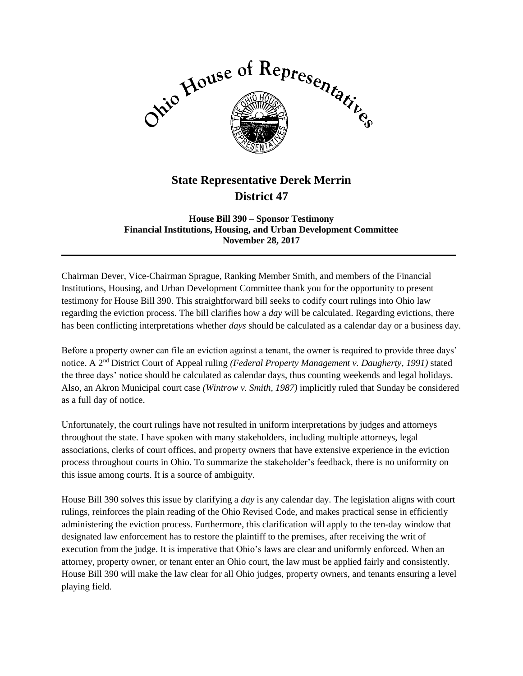

## **State Representative Derek Merrin District 47**

**House Bill 390 – Sponsor Testimony Financial Institutions, Housing, and Urban Development Committee November 28, 2017**

 $\mathcal{L}_\mathcal{L} = \mathcal{L}_\mathcal{L} = \mathcal{L}_\mathcal{L} = \mathcal{L}_\mathcal{L} = \mathcal{L}_\mathcal{L} = \mathcal{L}_\mathcal{L} = \mathcal{L}_\mathcal{L} = \mathcal{L}_\mathcal{L} = \mathcal{L}_\mathcal{L} = \mathcal{L}_\mathcal{L} = \mathcal{L}_\mathcal{L} = \mathcal{L}_\mathcal{L} = \mathcal{L}_\mathcal{L} = \mathcal{L}_\mathcal{L} = \mathcal{L}_\mathcal{L} = \mathcal{L}_\mathcal{L} = \mathcal{L}_\mathcal{L}$ 

Chairman Dever, Vice-Chairman Sprague, Ranking Member Smith, and members of the Financial Institutions, Housing, and Urban Development Committee thank you for the opportunity to present testimony for House Bill 390. This straightforward bill seeks to codify court rulings into Ohio law regarding the eviction process. The bill clarifies how a *day* will be calculated. Regarding evictions, there has been conflicting interpretations whether *days* should be calculated as a calendar day or a business day.

Before a property owner can file an eviction against a tenant, the owner is required to provide three days' notice. A 2nd District Court of Appeal ruling *(Federal Property Management v. Daugherty, 1991)* stated the three days' notice should be calculated as calendar days, thus counting weekends and legal holidays. Also, an Akron Municipal court case *(Wintrow v. Smith, 1987)* implicitly ruled that Sunday be considered as a full day of notice.

Unfortunately, the court rulings have not resulted in uniform interpretations by judges and attorneys throughout the state. I have spoken with many stakeholders, including multiple attorneys, legal associations, clerks of court offices, and property owners that have extensive experience in the eviction process throughout courts in Ohio. To summarize the stakeholder's feedback, there is no uniformity on this issue among courts. It is a source of ambiguity.

House Bill 390 solves this issue by clarifying a *day* is any calendar day. The legislation aligns with court rulings, reinforces the plain reading of the Ohio Revised Code, and makes practical sense in efficiently administering the eviction process. Furthermore, this clarification will apply to the ten-day window that designated law enforcement has to restore the plaintiff to the premises, after receiving the writ of execution from the judge. It is imperative that Ohio's laws are clear and uniformly enforced. When an attorney, property owner, or tenant enter an Ohio court, the law must be applied fairly and consistently. House Bill 390 will make the law clear for all Ohio judges, property owners, and tenants ensuring a level playing field.